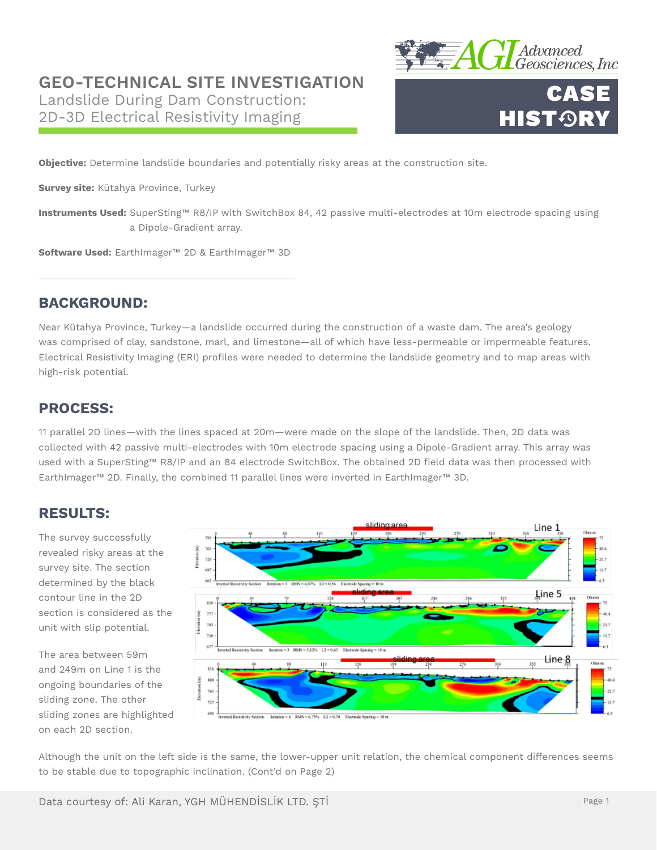## **GEO-TECHNICAL SITE INVESTIGATION**

Landslide During Dam Construction: 2D-3D Electrical Resistivity Imaging





**Objective:** Determine landslide boundaries and potentially risky areas at the construction site.

**Survey site:** Kütahya Province, Turkey

**Instruments Used:** SuperSting™ R8/IP with SwitchBox 84, 42 passive multi-electrodes at 10m electrode spacing using a Dipole-Gradient array.

**Software Used:** EarthImager™ 2D & EarthImager™ 3D

## **BACKGROUND:**

Near Kütahya Province, Turkey—a landslide occurred during the construction of a waste dam. The area's geology was comprised of clay, sandstone, marl, and limestone—all of which have less-permeable or impermeable features. Electrical Resistivity Imaging (ERI) profiles were needed to determine the landslide geometry and to map areas with high-risk potential.

## **PROCESS:**

11 parallel 2D lines—with the lines spaced at 20m—were made on the slope of the landslide. Then, 2D data was collected with 42 passive multi-electrodes with 10m electrode spacing using a Dipole-Gradient array. This array was used with a SuperSting™ R8/IP and an 84 electrode SwitchBox. The obtained 2D field data was then processed with EarthImager™ 2D. Finally, the combined 11 parallel lines were inverted in EarthImager™ 3D.

#### **RESULTS:**

The survey successfully revealed risky areas at the survey site. The section determined by the black contour line in the 2D section is considered as the unit with slip potential.

The area between 59m and 249m on Line 1 is the ongoing boundaries of the sliding zone. The other sliding zones are highlighted on each 2D section.



Although the unit on the left side is the same, the lower-upper unit relation, the chemical component differences seems to be stable due to topographic inclination. (Cont'd on Page 2)